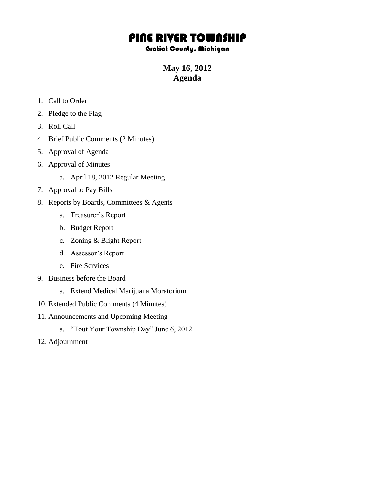## PINE RIVER TOWNSHIP

## Gratiot County, Michigan

**May 16, 2012 Agenda**

- 1. Call to Order
- 2. Pledge to the Flag
- 3. Roll Call
- 4. Brief Public Comments (2 Minutes)
- 5. Approval of Agenda
- 6. Approval of Minutes
	- a. April 18, 2012 Regular Meeting
- 7. Approval to Pay Bills
- 8. Reports by Boards, Committees & Agents
	- a. Treasurer's Report
	- b. Budget Report
	- c. Zoning & Blight Report
	- d. Assessor's Report
	- e. Fire Services
- 9. Business before the Board
	- a. Extend Medical Marijuana Moratorium
- 10. Extended Public Comments (4 Minutes)
- 11. Announcements and Upcoming Meeting
	- a. "Tout Your Township Day" June 6, 2012
- 12. Adjournment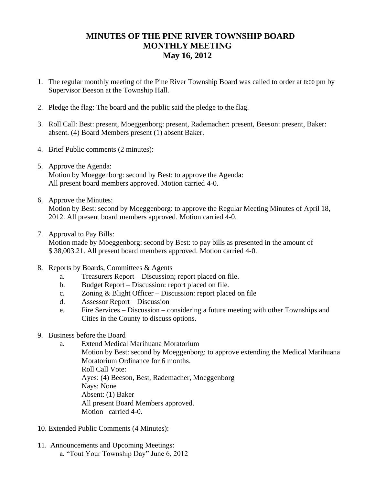## **MINUTES OF THE PINE RIVER TOWNSHIP BOARD MONTHLY MEETING May 16, 2012**

- 1. The regular monthly meeting of the Pine River Township Board was called to order at 8:00 pm by Supervisor Beeson at the Township Hall.
- 2. Pledge the flag: The board and the public said the pledge to the flag.
- 3. Roll Call: Best: present, Moeggenborg: present, Rademacher: present, Beeson: present, Baker: absent. (4) Board Members present (1) absent Baker.
- 4. Brief Public comments (2 minutes):
- 5. Approve the Agenda: Motion by Moeggenborg: second by Best: to approve the Agenda: All present board members approved. Motion carried 4-0.
- 6. Approve the Minutes: Motion by Best: second by Moeggenborg: to approve the Regular Meeting Minutes of April 18, 2012. All present board members approved. Motion carried 4-0.
- 7. Approval to Pay Bills:

Motion made by Moeggenborg: second by Best: to pay bills as presented in the amount of \$ 38,003.21. All present board members approved. Motion carried 4-0.

- 8. Reports by Boards, Committees & Agents
	- a. Treasurers Report Discussion; report placed on file.
	- b. Budget Report Discussion: report placed on file.
	- c. Zoning & Blight Officer Discussion: report placed on file
	- d. Assessor Report Discussion
	- e. Fire Services Discussion considering a future meeting with other Townships and Cities in the County to discuss options.
- 9. Business before the Board
	- a. Extend Medical Marihuana Moratorium
		- Motion by Best: second by Moeggenborg: to approve extending the Medical Marihuana Moratorium Ordinance for 6 months.
			- Roll Call Vote:

Ayes: (4) Beeson, Best, Rademacher, Moeggenborg

Nays: None

Absent: (1) Baker

All present Board Members approved. Motion carried 4-0.

- 10. Extended Public Comments (4 Minutes):
- 11. Announcements and Upcoming Meetings: a. "Tout Your Township Day" June 6, 2012